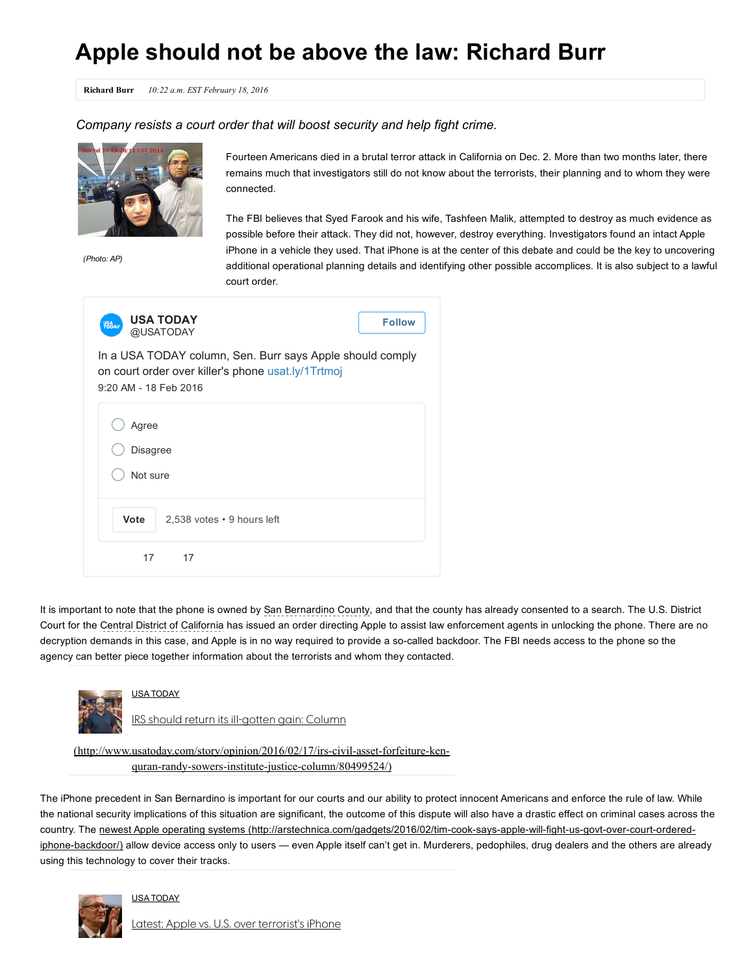## Apple should not be above the law: Richard Burr

Richard Burr 10:22 a.m. EST February 18, 2016

*Company resists a court order that will boost security and help fight crime.*



*(Photo: AP)*

Fourteen Americans died in a brutal terror attack in California on Dec. 2. More than two months later, there remains much that investigators still do not know about the terrorists, their planning and to whom they were connected.

The FBI believes that Syed Farook and his wife, Tashfeen Malik, attempted to destroy as much evidence as possible before their attack. They did not, however, destroy everything. Investigators found an intact Apple iPhone in a vehicle they used. That iPhone is at the center of this debate and could be the key to uncovering additional operational planning details and identifying other possible accomplices. It is also subject to a lawful court order.

| <b>USA TODAY</b><br><b>Follow</b><br><b>USA</b><br>TODAY<br>@USATODAY                                                                    |
|------------------------------------------------------------------------------------------------------------------------------------------|
| In a USA TODAY column, Sen. Burr says Apple should comply<br>on court order over killer's phone usat.ly/1Trtmoj<br>9:20 AM - 18 Feb 2016 |
| Agree<br><b>Disagree</b><br>Not sure                                                                                                     |
| Vote<br>2,538 votes • 9 hours left                                                                                                       |
| 17<br>17                                                                                                                                 |

It is important to note that the phone is owned by San Bernardino County, and that the county has already consented to a search. The U.S. District Court for the Central District of California has issued an order directing Apple to assist law enforcement agents in unlocking the phone. There are no decryption demands in this case, and Apple is in no way required to provide a so-called backdoor. The FBI needs access to the phone so the agency can better piece together information about the terrorists and whom they contacted.



USA TODAY

IRS should return its ill-gotten gain: Column

(http://www.usatoday.com/story/opinion/2016/02/17/irs-civil-asset-forfeiture-kenquran-randy-sowers-institute-justice-column/80499524/)

The iPhone precedent in San Bernardino is important for our courts and our ability to protect innocent Americans and enforce the rule of law. While the national security implications of this situation are significant, the outcome of this dispute will also have a drastic effect on criminal cases across the country. The newest Apple operating systems (http://arstechnica.com/gadgets/2016/02/tim-cook-says-apple-will-fight-us-govt-over-court-orderediphone-backdoor/) allow device access only to users — even Apple itself can't get in. Murderers, pedophiles, drug dealers and the others are already using this technology to cover their tracks.



## USA TODAY

Latest: Apple vs. U.S. over [terrorist's](http://www.usatoday.com/story/tech/news/2016/02/17/latest-apple-vs-us-over-terrorists-iphone/80518610/) iPhone